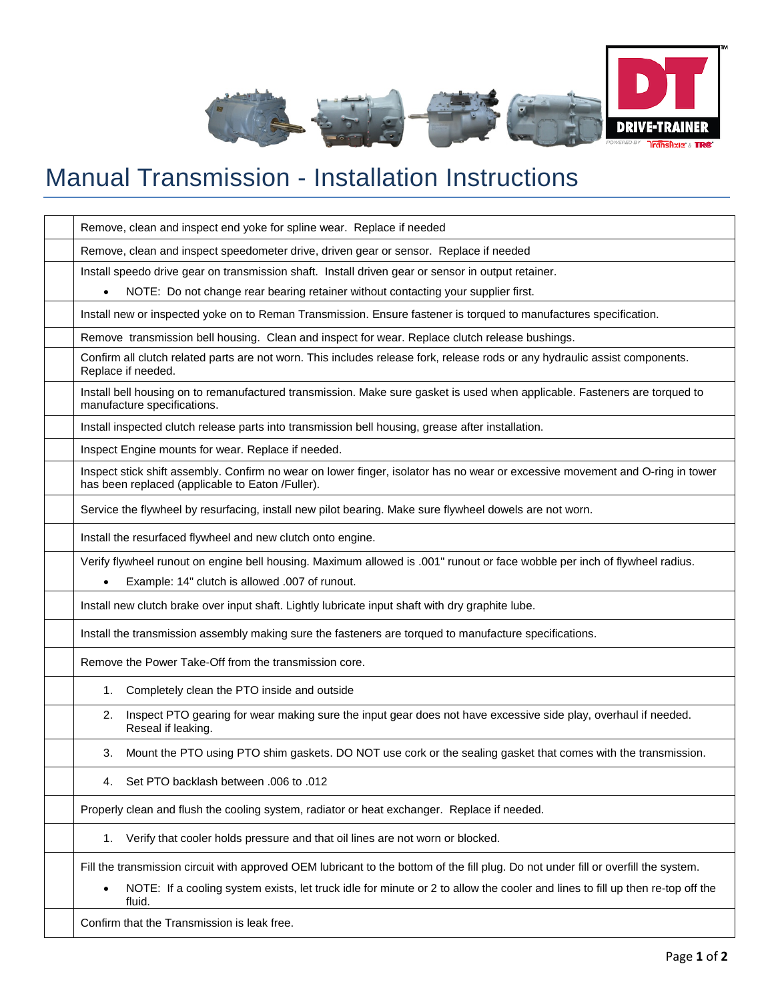

## Manual Transmission - Installation Instructions

| Remove, clean and inspect end yoke for spline wear. Replace if needed                                                                                                             |
|-----------------------------------------------------------------------------------------------------------------------------------------------------------------------------------|
| Remove, clean and inspect speedometer drive, driven gear or sensor. Replace if needed                                                                                             |
| Install speedo drive gear on transmission shaft. Install driven gear or sensor in output retainer.                                                                                |
| NOTE: Do not change rear bearing retainer without contacting your supplier first.                                                                                                 |
| Install new or inspected yoke on to Reman Transmission. Ensure fastener is torqued to manufactures specification.                                                                 |
| Remove transmission bell housing. Clean and inspect for wear. Replace clutch release bushings.                                                                                    |
| Confirm all clutch related parts are not worn. This includes release fork, release rods or any hydraulic assist components.<br>Replace if needed.                                 |
| Install bell housing on to remanufactured transmission. Make sure gasket is used when applicable. Fasteners are torqued to<br>manufacture specifications.                         |
| Install inspected clutch release parts into transmission bell housing, grease after installation.                                                                                 |
| Inspect Engine mounts for wear. Replace if needed.                                                                                                                                |
| Inspect stick shift assembly. Confirm no wear on lower finger, isolator has no wear or excessive movement and O-ring in tower<br>has been replaced (applicable to Eaton /Fuller). |
| Service the flywheel by resurfacing, install new pilot bearing. Make sure flywheel dowels are not worn.                                                                           |
| Install the resurfaced flywheel and new clutch onto engine.                                                                                                                       |
| Verify flywheel runout on engine bell housing. Maximum allowed is .001" runout or face wobble per inch of flywheel radius.                                                        |
| Example: 14" clutch is allowed .007 of runout.                                                                                                                                    |
| Install new clutch brake over input shaft. Lightly lubricate input shaft with dry graphite lube.                                                                                  |
| Install the transmission assembly making sure the fasteners are torqued to manufacture specifications.                                                                            |
| Remove the Power Take-Off from the transmission core.                                                                                                                             |
| Completely clean the PTO inside and outside<br>1.                                                                                                                                 |
| Inspect PTO gearing for wear making sure the input gear does not have excessive side play, overhaul if needed.<br>2.<br>Reseal if leaking.                                        |
| Mount the PTO using PTO shim gaskets. DO NOT use cork or the sealing gasket that comes with the transmission.<br>3.                                                               |
| Set PTO backlash between .006 to .012<br>4.                                                                                                                                       |
| Properly clean and flush the cooling system, radiator or heat exchanger. Replace if needed.                                                                                       |
| 1. Verify that cooler holds pressure and that oil lines are not worn or blocked.                                                                                                  |
| Fill the transmission circuit with approved OEM lubricant to the bottom of the fill plug. Do not under fill or overfill the system.                                               |
| NOTE: If a cooling system exists, let truck idle for minute or 2 to allow the cooler and lines to fill up then re-top off the<br>fluid.                                           |
| Confirm that the Transmission is leak free.                                                                                                                                       |
|                                                                                                                                                                                   |